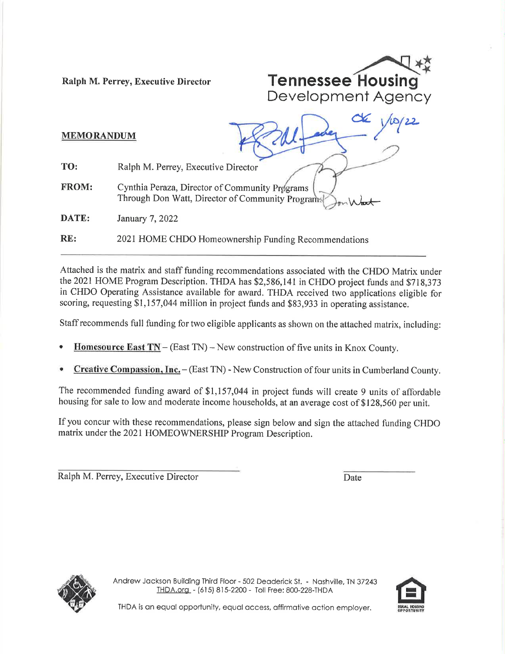

## MEMORANDUM

TO: Ralph M. Perey, Executive Director

FROM: Cynthia Peraza, Director of Community Programs Through Don Watt, Director of Community Programs

January 7,2022 DATE:

2021 HOME CHDO Homeownership Funding Recommendations RE:

Attached is the matrix and staff funding recommendations associated with the CHDO Matrix under the 2021 HOME Program Description. THDA has \$2,586,141 in CHDO project funds and \$718,373 in CHDO Operating Assistance available for award. THDA received two applications eligible for scoring, requesting \$1,157,044 million in project funds and \$83,933 in operating assistance.

Staff recommends full funding for two eligible applicants as shown on the attached matrix, including:

- **Homesource East TN** (East TN) New construction of five units in Knox County.
- Creative Compassion, Inc. (East TN) New Construction of four units in Cumberland County.

The recommended funding award of \$1,157,044 in project funds will create 9 units of affordable housing for sale to low and moderate income households, at an average cost of \$128,560 per unit.

If you concur with these recommendations, please sign below and sign the attached funding CHDO matrix under the 2021 HOMEOWNERSHIP Program Description.

Ralph M. Perrey, Executive Director Date



Andrew Jackson Building Third Floor - 502 Deaderick St. - Nashville, TN 37243 THDA.org - (615)815-2200 - Toll Free:800-228-THDA



THDA is an equal opportunity, equal access, affirmative action employer.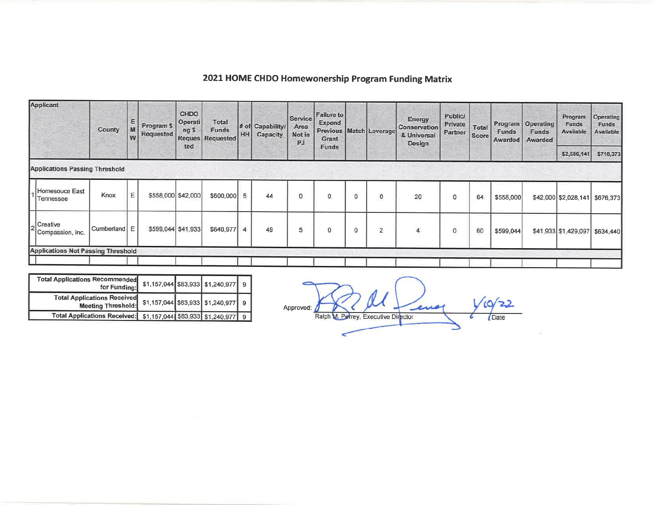| Applicant                                 | County     | E.<br>M<br>W | Program \$<br>Requested | CHDO<br>Operati<br>ng \$<br><b>Reques</b> | Total<br>Funds<br>Requested | HH             | # of Capability/<br>Capacity | Service<br>Area<br>Not in<br><b>PJ</b> | Failure to<br>Expend<br>Grant |   | Previous   Match   Leverage | Energy<br>Conservation<br>& Universal<br>Design | <b>Public/</b><br>Private<br>Partner | Total<br>Score | Program<br>Funds<br>Awarded | <b>Operating</b><br>Funds<br>Awarded | Program<br>Funds<br>Available | Operating<br>Funds<br><b>Available</b> |
|-------------------------------------------|------------|--------------|-------------------------|-------------------------------------------|-----------------------------|----------------|------------------------------|----------------------------------------|-------------------------------|---|-----------------------------|-------------------------------------------------|--------------------------------------|----------------|-----------------------------|--------------------------------------|-------------------------------|----------------------------------------|
|                                           |            |              |                         | ted                                       |                             |                |                              |                                        | Funds                         |   |                             |                                                 |                                      |                |                             |                                      | \$2,586,141                   | \$718,373                              |
| <b>Applications Passing Threshold</b>     |            |              |                         |                                           |                             |                |                              |                                        |                               |   |                             |                                                 |                                      |                |                             |                                      |                               |                                        |
| Homesouce East<br>Tennessee               | Knox       | Ε            | \$558,000 \$42,000      |                                           | \$600,000                   | 5              | 44                           | 0                                      | 0                             | 0 | 0                           | 20                                              | $^{\circ}$                           | 64             | \$558,000                   |                                      | \$42,000 \$2,028,141          | \$676,373                              |
| Creative<br>Compassion, Inc.              | Cumberland | Ε            | \$599,044 \$41,933      |                                           | \$640,977                   | $\overline{4}$ | 49                           | 5                                      | 0                             | 0 | $\overline{2}$              | 4                                               | $\circ$                              | 60             | \$599,044                   |                                      | \$41,933 \$1,429,097          | \$634,440                              |
| <b>Applications Not Passing Threshold</b> |            |              |                         |                                           |                             |                |                              |                                        |                               |   |                             |                                                 |                                      |                |                             |                                      |                               |                                        |

| 2021 HOME CHDO Homewonership Program Funding Matrix |  |  |  |
|-----------------------------------------------------|--|--|--|
|-----------------------------------------------------|--|--|--|

| <b>Total Applications Recommended</b><br>for Funding:           |  | \$1,157,044 \$83,933 \$1,240,977 9    |  |
|-----------------------------------------------------------------|--|---------------------------------------|--|
| <b>Total Applications Received</b><br><b>Meeting Threshold:</b> |  | $$1,157,044$ $$83,933$ $$1,240,977$ 9 |  |
| Total Applications Received: \$1,157,044 \$83,933 \$1,240,977 9 |  |                                       |  |

Ralph M. Petrey, Executive Director  $10/22$ Approved: Date